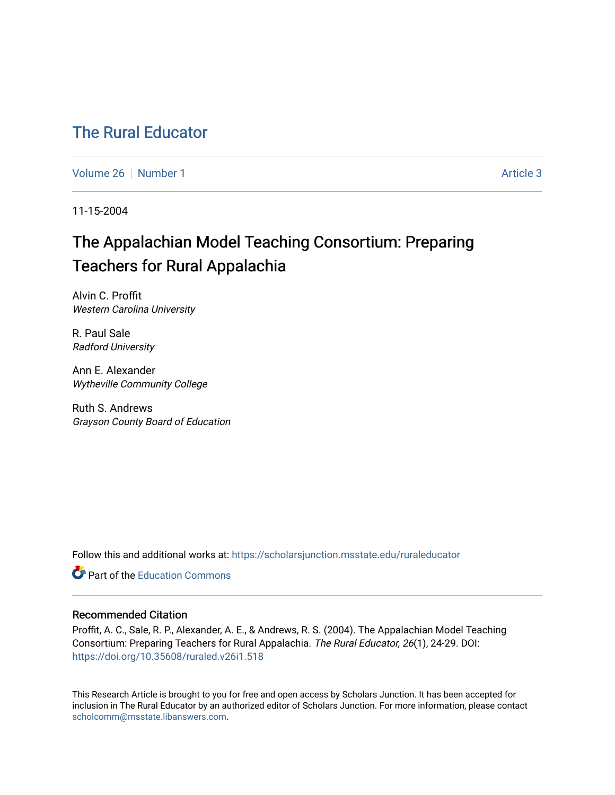## [The Rural Educator](https://scholarsjunction.msstate.edu/ruraleducator)

[Volume 26](https://scholarsjunction.msstate.edu/ruraleducator/vol26) [Number 1](https://scholarsjunction.msstate.edu/ruraleducator/vol26/iss1) Article 3

11-15-2004

# The Appalachian Model Teaching Consortium: Preparing Teachers for Rural Appalachia

Alvin C. Proffit Western Carolina University

R. Paul Sale Radford University

Ann E. Alexander Wytheville Community College

Ruth S. Andrews Grayson County Board of Education

Follow this and additional works at: [https://scholarsjunction.msstate.edu/ruraleducator](https://scholarsjunction.msstate.edu/ruraleducator?utm_source=scholarsjunction.msstate.edu%2Fruraleducator%2Fvol26%2Fiss1%2F3&utm_medium=PDF&utm_campaign=PDFCoverPages)

**C** Part of the [Education Commons](http://network.bepress.com/hgg/discipline/784?utm_source=scholarsjunction.msstate.edu%2Fruraleducator%2Fvol26%2Fiss1%2F3&utm_medium=PDF&utm_campaign=PDFCoverPages)

#### Recommended Citation

Proffit, A. C., Sale, R. P., Alexander, A. E., & Andrews, R. S. (2004). The Appalachian Model Teaching Consortium: Preparing Teachers for Rural Appalachia. The Rural Educator, 26(1), 24-29. DOI: <https://doi.org/10.35608/ruraled.v26i1.518>

This Research Article is brought to you for free and open access by Scholars Junction. It has been accepted for inclusion in The Rural Educator by an authorized editor of Scholars Junction. For more information, please contact [scholcomm@msstate.libanswers.com.](mailto:scholcomm@msstate.libanswers.com)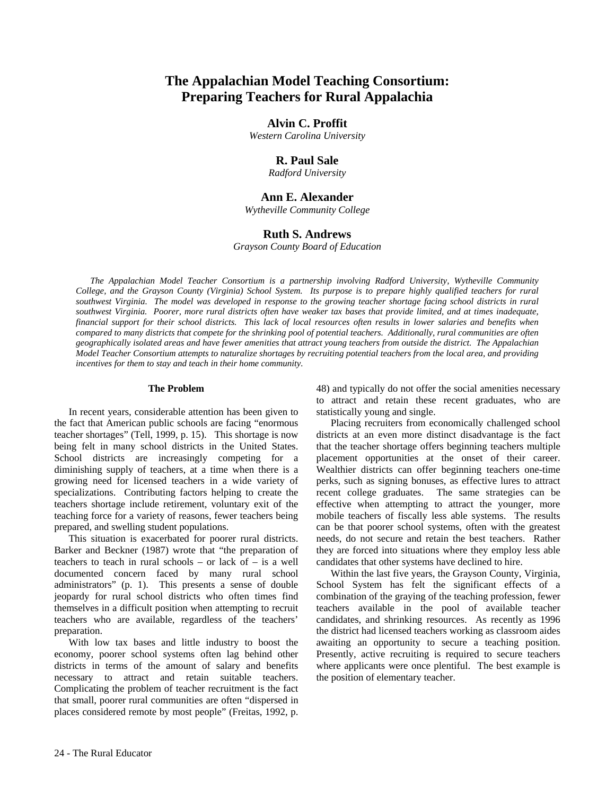### **The Appalachian Model Teaching Consortium: Preparing Teachers for Rural Appalachia**

#### **Alvin C. Proffit**

*Western Carolina University* 

#### **R. Paul Sale**

*Radford University* 

#### **Ann E. Alexander**

*Wytheville Community College* 

#### **Ruth S. Andrews**

*Grayson County Board of Education* 

*The Appalachian Model Teacher Consortium is a partnership involving Radford University, Wytheville Community College, and the Grayson County (Virginia) School System. Its purpose is to prepare highly qualified teachers for rural southwest Virginia. The model was developed in response to the growing teacher shortage facing school districts in rural southwest Virginia. Poorer, more rural districts often have weaker tax bases that provide limited, and at times inadequate, financial support for their school districts. This lack of local resources often results in lower salaries and benefits when compared to many districts that compete for the shrinking pool of potential teachers. Additionally, rural communities are often geographically isolated areas and have fewer amenities that attract young teachers from outside the district. The Appalachian Model Teacher Consortium attempts to naturalize shortages by recruiting potential teachers from the local area, and providing incentives for them to stay and teach in their home community.* 

#### **The Problem**

In recent years, considerable attention has been given to the fact that American public schools are facing "enormous teacher shortages" (Tell, 1999, p. 15). This shortage is now being felt in many school districts in the United States. School districts are increasingly competing for a diminishing supply of teachers, at a time when there is a growing need for licensed teachers in a wide variety of specializations. Contributing factors helping to create the teachers shortage include retirement, voluntary exit of the teaching force for a variety of reasons, fewer teachers being prepared, and swelling student populations.

This situation is exacerbated for poorer rural districts. Barker and Beckner (1987) wrote that "the preparation of teachers to teach in rural schools – or lack of – is a well documented concern faced by many rural school administrators" (p. 1). This presents a sense of double jeopardy for rural school districts who often times find themselves in a difficult position when attempting to recruit teachers who are available, regardless of the teachers' preparation.

With low tax bases and little industry to boost the economy, poorer school systems often lag behind other districts in terms of the amount of salary and benefits necessary to attract and retain suitable teachers. Complicating the problem of teacher recruitment is the fact that small, poorer rural communities are often "dispersed in places considered remote by most people" (Freitas, 1992, p.

48) and typically do not offer the social amenities necessary to attract and retain these recent graduates, who are statistically young and single.

Placing recruiters from economically challenged school districts at an even more distinct disadvantage is the fact that the teacher shortage offers beginning teachers multiple placement opportunities at the onset of their career. Wealthier districts can offer beginning teachers one-time perks, such as signing bonuses, as effective lures to attract recent college graduates. The same strategies can be effective when attempting to attract the younger, more mobile teachers of fiscally less able systems. The results can be that poorer school systems, often with the greatest needs, do not secure and retain the best teachers. Rather they are forced into situations where they employ less able candidates that other systems have declined to hire.

Within the last five years, the Grayson County, Virginia, School System has felt the significant effects of a combination of the graying of the teaching profession, fewer teachers available in the pool of available teacher candidates, and shrinking resources. As recently as 1996 the district had licensed teachers working as classroom aides awaiting an opportunity to secure a teaching position. Presently, active recruiting is required to secure teachers where applicants were once plentiful. The best example is the position of elementary teacher.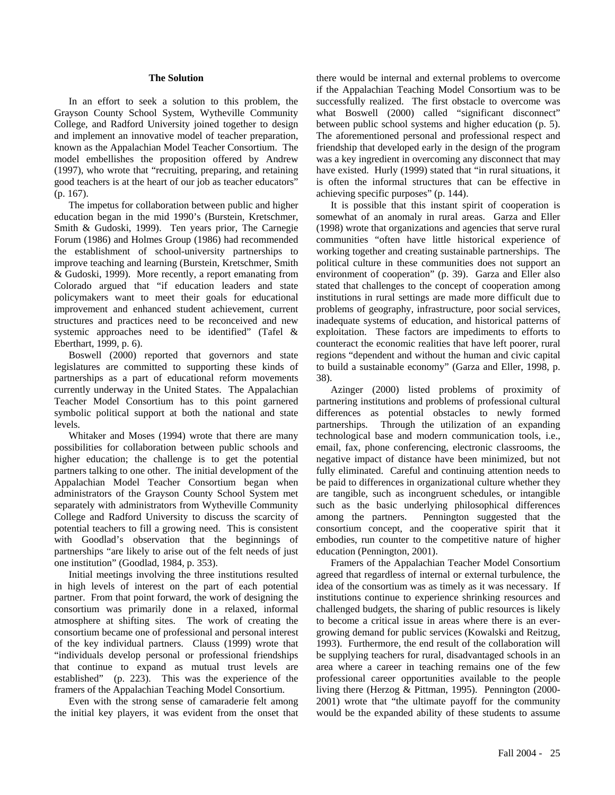#### **The Solution**

In an effort to seek a solution to this problem, the Grayson County School System, Wytheville Community College, and Radford University joined together to design and implement an innovative model of teacher preparation, known as the Appalachian Model Teacher Consortium. The model embellishes the proposition offered by Andrew (1997), who wrote that "recruiting, preparing, and retaining good teachers is at the heart of our job as teacher educators" (p. 167).

The impetus for collaboration between public and higher education began in the mid 1990's (Burstein, Kretschmer, Smith & Gudoski, 1999). Ten years prior, The Carnegie Forum (1986) and Holmes Group (1986) had recommended the establishment of school-university partnerships to improve teaching and learning (Burstein, Kretschmer, Smith & Gudoski, 1999). More recently, a report emanating from Colorado argued that "if education leaders and state policymakers want to meet their goals for educational improvement and enhanced student achievement, current structures and practices need to be reconceived and new systemic approaches need to be identified" (Tafel & Eberthart, 1999, p. 6).

Boswell (2000) reported that governors and state legislatures are committed to supporting these kinds of partnerships as a part of educational reform movements currently underway in the United States. The Appalachian Teacher Model Consortium has to this point garnered symbolic political support at both the national and state levels.

Whitaker and Moses (1994) wrote that there are many possibilities for collaboration between public schools and higher education; the challenge is to get the potential partners talking to one other. The initial development of the Appalachian Model Teacher Consortium began when administrators of the Grayson County School System met separately with administrators from Wytheville Community College and Radford University to discuss the scarcity of potential teachers to fill a growing need. This is consistent with Goodlad's observation that the beginnings of partnerships "are likely to arise out of the felt needs of just one institution" (Goodlad, 1984, p. 353).

Initial meetings involving the three institutions resulted in high levels of interest on the part of each potential partner. From that point forward, the work of designing the consortium was primarily done in a relaxed, informal atmosphere at shifting sites. The work of creating the consortium became one of professional and personal interest of the key individual partners. Clauss (1999) wrote that "individuals develop personal or professional friendships that continue to expand as mutual trust levels are established" (p. 223). This was the experience of the framers of the Appalachian Teaching Model Consortium.

Even with the strong sense of camaraderie felt among the initial key players, it was evident from the onset that

there would be internal and external problems to overcome if the Appalachian Teaching Model Consortium was to be successfully realized. The first obstacle to overcome was what Boswell (2000) called "significant disconnect" between public school systems and higher education (p. 5). The aforementioned personal and professional respect and friendship that developed early in the design of the program was a key ingredient in overcoming any disconnect that may have existed. Hurly (1999) stated that "in rural situations, it is often the informal structures that can be effective in achieving specific purposes" (p. 144).

It is possible that this instant spirit of cooperation is somewhat of an anomaly in rural areas. Garza and Eller (1998) wrote that organizations and agencies that serve rural communities "often have little historical experience of working together and creating sustainable partnerships. The political culture in these communities does not support an environment of cooperation" (p. 39). Garza and Eller also stated that challenges to the concept of cooperation among institutions in rural settings are made more difficult due to problems of geography, infrastructure, poor social services, inadequate systems of education, and historical patterns of exploitation. These factors are impediments to efforts to counteract the economic realities that have left poorer, rural regions "dependent and without the human and civic capital to build a sustainable economy" (Garza and Eller, 1998, p. 38).

Azinger (2000) listed problems of proximity of partnering institutions and problems of professional cultural differences as potential obstacles to newly formed partnerships. Through the utilization of an expanding technological base and modern communication tools, i.e., email, fax, phone conferencing, electronic classrooms, the negative impact of distance have been minimized, but not fully eliminated. Careful and continuing attention needs to be paid to differences in organizational culture whether they are tangible, such as incongruent schedules, or intangible such as the basic underlying philosophical differences among the partners. Pennington suggested that the consortium concept, and the cooperative spirit that it embodies, run counter to the competitive nature of higher education (Pennington, 2001).

Framers of the Appalachian Teacher Model Consortium agreed that regardless of internal or external turbulence, the idea of the consortium was as timely as it was necessary. If institutions continue to experience shrinking resources and challenged budgets, the sharing of public resources is likely to become a critical issue in areas where there is an evergrowing demand for public services (Kowalski and Reitzug, 1993). Furthermore, the end result of the collaboration will be supplying teachers for rural, disadvantaged schools in an area where a career in teaching remains one of the few professional career opportunities available to the people living there (Herzog & Pittman, 1995). Pennington (2000- 2001) wrote that "the ultimate payoff for the community would be the expanded ability of these students to assume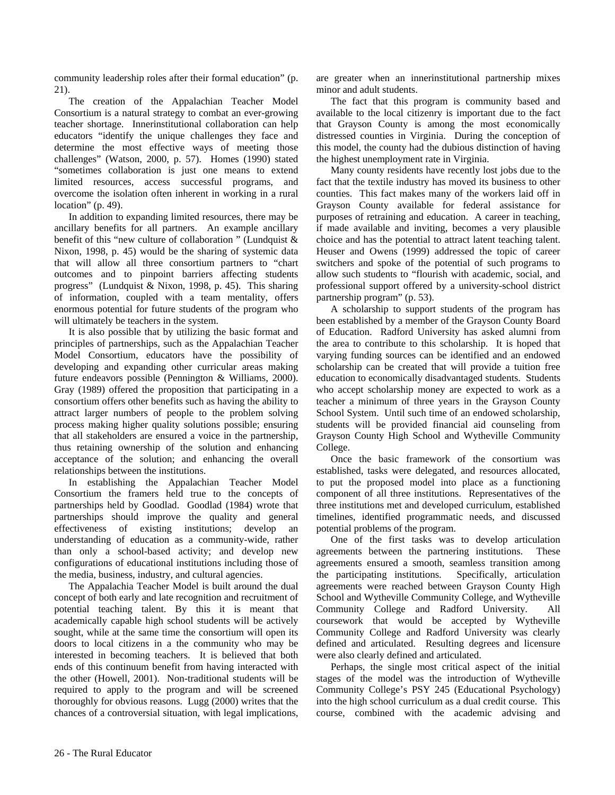community leadership roles after their formal education" (p. 21).

The creation of the Appalachian Teacher Model Consortium is a natural strategy to combat an ever-growing teacher shortage. Innerinstitutional collaboration can help educators "identify the unique challenges they face and determine the most effective ways of meeting those challenges" (Watson, 2000, p. 57). Homes (1990) stated "sometimes collaboration is just one means to extend limited resources, access successful programs, and overcome the isolation often inherent in working in a rural location" (p. 49).

In addition to expanding limited resources, there may be ancillary benefits for all partners. An example ancillary benefit of this "new culture of collaboration " (Lundquist & Nixon, 1998, p. 45) would be the sharing of systemic data that will allow all three consortium partners to "chart outcomes and to pinpoint barriers affecting students progress" (Lundquist & Nixon, 1998, p. 45). This sharing of information, coupled with a team mentality, offers enormous potential for future students of the program who will ultimately be teachers in the system.

It is also possible that by utilizing the basic format and principles of partnerships, such as the Appalachian Teacher Model Consortium, educators have the possibility of developing and expanding other curricular areas making future endeavors possible (Pennington & Williams, 2000). Gray (1989) offered the proposition that participating in a consortium offers other benefits such as having the ability to attract larger numbers of people to the problem solving process making higher quality solutions possible; ensuring that all stakeholders are ensured a voice in the partnership, thus retaining ownership of the solution and enhancing acceptance of the solution; and enhancing the overall relationships between the institutions.

In establishing the Appalachian Teacher Model Consortium the framers held true to the concepts of partnerships held by Goodlad. Goodlad (1984) wrote that partnerships should improve the quality and general effectiveness of existing institutions; develop an understanding of education as a community-wide, rather than only a school-based activity; and develop new configurations of educational institutions including those of the media, business, industry, and cultural agencies.

The Appalachia Teacher Model is built around the dual concept of both early and late recognition and recruitment of potential teaching talent. By this it is meant that academically capable high school students will be actively sought, while at the same time the consortium will open its doors to local citizens in a the community who may be interested in becoming teachers. It is believed that both ends of this continuum benefit from having interacted with the other (Howell, 2001). Non-traditional students will be required to apply to the program and will be screened thoroughly for obvious reasons. Lugg (2000) writes that the chances of a controversial situation, with legal implications, are greater when an innerinstitutional partnership mixes minor and adult students.

The fact that this program is community based and available to the local citizenry is important due to the fact that Grayson County is among the most economically distressed counties in Virginia. During the conception of this model, the county had the dubious distinction of having the highest unemployment rate in Virginia.

Many county residents have recently lost jobs due to the fact that the textile industry has moved its business to other counties. This fact makes many of the workers laid off in Grayson County available for federal assistance for purposes of retraining and education. A career in teaching, if made available and inviting, becomes a very plausible choice and has the potential to attract latent teaching talent. Heuser and Owens (1999) addressed the topic of career switchers and spoke of the potential of such programs to allow such students to "flourish with academic, social, and professional support offered by a university-school district partnership program" (p. 53).

A scholarship to support students of the program has been established by a member of the Grayson County Board of Education. Radford University has asked alumni from the area to contribute to this scholarship. It is hoped that varying funding sources can be identified and an endowed scholarship can be created that will provide a tuition free education to economically disadvantaged students. Students who accept scholarship money are expected to work as a teacher a minimum of three years in the Grayson County School System. Until such time of an endowed scholarship, students will be provided financial aid counseling from Grayson County High School and Wytheville Community College.

Once the basic framework of the consortium was established, tasks were delegated, and resources allocated, to put the proposed model into place as a functioning component of all three institutions. Representatives of the three institutions met and developed curriculum, established timelines, identified programmatic needs, and discussed potential problems of the program.

One of the first tasks was to develop articulation agreements between the partnering institutions. These agreements ensured a smooth, seamless transition among the participating institutions. Specifically, articulation agreements were reached between Grayson County High School and Wytheville Community College, and Wytheville Community College and Radford University. All coursework that would be accepted by Wytheville Community College and Radford University was clearly defined and articulated. Resulting degrees and licensure were also clearly defined and articulated.

Perhaps, the single most critical aspect of the initial stages of the model was the introduction of Wytheville Community College's PSY 245 (Educational Psychology) into the high school curriculum as a dual credit course. This course, combined with the academic advising and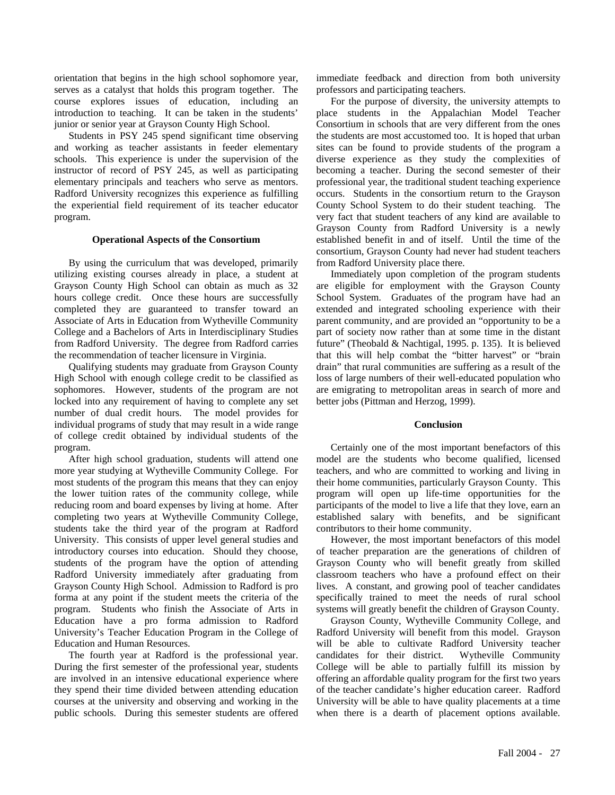orientation that begins in the high school sophomore year, serves as a catalyst that holds this program together. The course explores issues of education, including an introduction to teaching. It can be taken in the students' junior or senior year at Grayson County High School.

Students in PSY 245 spend significant time observing and working as teacher assistants in feeder elementary schools. This experience is under the supervision of the instructor of record of PSY 245, as well as participating elementary principals and teachers who serve as mentors. Radford University recognizes this experience as fulfilling the experiential field requirement of its teacher educator program.

#### **Operational Aspects of the Consortium**

By using the curriculum that was developed, primarily utilizing existing courses already in place, a student at Grayson County High School can obtain as much as 32 hours college credit. Once these hours are successfully completed they are guaranteed to transfer toward an Associate of Arts in Education from Wytheville Community College and a Bachelors of Arts in Interdisciplinary Studies from Radford University. The degree from Radford carries the recommendation of teacher licensure in Virginia.

Qualifying students may graduate from Grayson County High School with enough college credit to be classified as sophomores. However, students of the program are not locked into any requirement of having to complete any set number of dual credit hours. The model provides for individual programs of study that may result in a wide range of college credit obtained by individual students of the program.

After high school graduation, students will attend one more year studying at Wytheville Community College. For most students of the program this means that they can enjoy the lower tuition rates of the community college, while reducing room and board expenses by living at home. After completing two years at Wytheville Community College, students take the third year of the program at Radford University. This consists of upper level general studies and introductory courses into education. Should they choose, students of the program have the option of attending Radford University immediately after graduating from Grayson County High School. Admission to Radford is pro forma at any point if the student meets the criteria of the program. Students who finish the Associate of Arts in Education have a pro forma admission to Radford University's Teacher Education Program in the College of Education and Human Resources.

The fourth year at Radford is the professional year. During the first semester of the professional year, students are involved in an intensive educational experience where they spend their time divided between attending education courses at the university and observing and working in the public schools. During this semester students are offered immediate feedback and direction from both university professors and participating teachers.

For the purpose of diversity, the university attempts to place students in the Appalachian Model Teacher Consortium in schools that are very different from the ones the students are most accustomed too. It is hoped that urban sites can be found to provide students of the program a diverse experience as they study the complexities of becoming a teacher. During the second semester of their professional year, the traditional student teaching experience occurs. Students in the consortium return to the Grayson County School System to do their student teaching. The very fact that student teachers of any kind are available to Grayson County from Radford University is a newly established benefit in and of itself. Until the time of the consortium, Grayson County had never had student teachers from Radford University place there.

Immediately upon completion of the program students are eligible for employment with the Grayson County School System. Graduates of the program have had an extended and integrated schooling experience with their parent community, and are provided an "opportunity to be a part of society now rather than at some time in the distant future" (Theobald & Nachtigal, 1995. p. 135). It is believed that this will help combat the "bitter harvest" or "brain drain" that rural communities are suffering as a result of the loss of large numbers of their well-educated population who are emigrating to metropolitan areas in search of more and better jobs (Pittman and Herzog, 1999).

#### **Conclusion**

Certainly one of the most important benefactors of this model are the students who become qualified, licensed teachers, and who are committed to working and living in their home communities, particularly Grayson County. This program will open up life-time opportunities for the participants of the model to live a life that they love, earn an established salary with benefits, and be significant contributors to their home community.

However, the most important benefactors of this model of teacher preparation are the generations of children of Grayson County who will benefit greatly from skilled classroom teachers who have a profound effect on their lives. A constant, and growing pool of teacher candidates specifically trained to meet the needs of rural school systems will greatly benefit the children of Grayson County.

Grayson County, Wytheville Community College, and Radford University will benefit from this model. Grayson will be able to cultivate Radford University teacher candidates for their district. Wytheville Community College will be able to partially fulfill its mission by offering an affordable quality program for the first two years of the teacher candidate's higher education career. Radford University will be able to have quality placements at a time when there is a dearth of placement options available.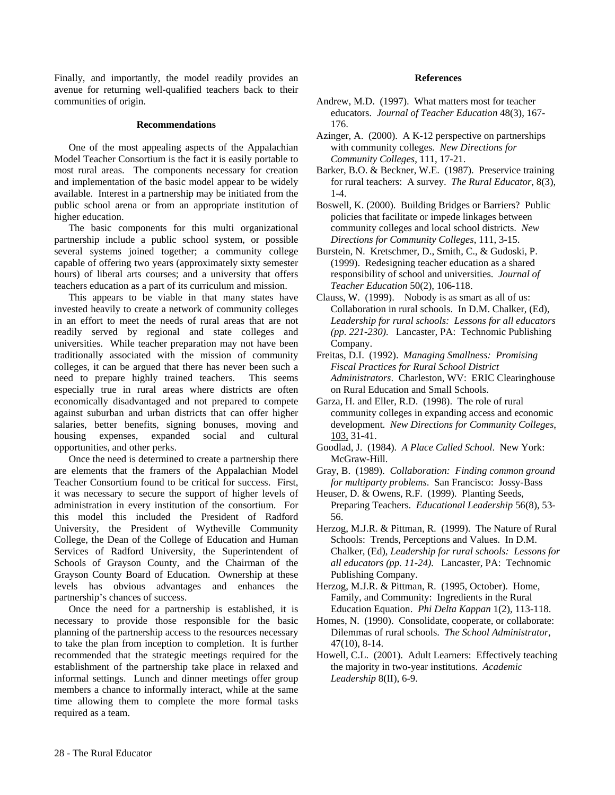Finally, and importantly, the model readily provides an avenue for returning well-qualified teachers back to their communities of origin.

#### **Recommendations**

One of the most appealing aspects of the Appalachian Model Teacher Consortium is the fact it is easily portable to most rural areas. The components necessary for creation and implementation of the basic model appear to be widely available. Interest in a partnership may be initiated from the public school arena or from an appropriate institution of higher education.

The basic components for this multi organizational partnership include a public school system, or possible several systems joined together; a community college capable of offering two years (approximately sixty semester hours) of liberal arts courses; and a university that offers teachers education as a part of its curriculum and mission.

This appears to be viable in that many states have invested heavily to create a network of community colleges in an effort to meet the needs of rural areas that are not readily served by regional and state colleges and universities. While teacher preparation may not have been traditionally associated with the mission of community colleges, it can be argued that there has never been such a need to prepare highly trained teachers. This seems especially true in rural areas where districts are often economically disadvantaged and not prepared to compete against suburban and urban districts that can offer higher salaries, better benefits, signing bonuses, moving and housing expenses, expanded social and cultural opportunities, and other perks.

Once the need is determined to create a partnership there are elements that the framers of the Appalachian Model Teacher Consortium found to be critical for success. First, it was necessary to secure the support of higher levels of administration in every institution of the consortium. For this model this included the President of Radford University, the President of Wytheville Community College, the Dean of the College of Education and Human Services of Radford University, the Superintendent of Schools of Grayson County, and the Chairman of the Grayson County Board of Education. Ownership at these levels has obvious advantages and enhances the partnership's chances of success.

Once the need for a partnership is established, it is necessary to provide those responsible for the basic planning of the partnership access to the resources necessary to take the plan from inception to completion. It is further recommended that the strategic meetings required for the establishment of the partnership take place in relaxed and informal settings. Lunch and dinner meetings offer group members a chance to informally interact, while at the same time allowing them to complete the more formal tasks required as a team.

#### **References**

- Andrew, M.D. (1997). What matters most for teacher educators. *Journal of Teacher Education* 48(3), 167- 176.
- Azinger, A. (2000). A K-12 perspective on partnerships with community colleges. *New Directions for Community Colleges*, 111, 17-21.
- Barker, B.O. & Beckner, W.E. (1987). Preservice training for rural teachers: A survey. *The Rural Educator*, 8(3), 1-4.
- Boswell, K. (2000). Building Bridges or Barriers? Public policies that facilitate or impede linkages between community colleges and local school districts. *New Directions for Community Colleges*, 111, 3-15.
- Burstein, N. Kretschmer, D., Smith, C., & Gudoski, P. (1999). Redesigning teacher education as a shared responsibility of school and universities. *Journal of Teacher Education* 50(2), 106-118.
- Clauss, W. (1999). Nobody is as smart as all of us: Collaboration in rural schools. In D.M. Chalker, (Ed), *Leadership for rural schools: Lessons for all educators (pp. 221-230)*. Lancaster, PA: Technomic Publishing Company.
- Freitas, D.I. (1992). *Managing Smallness: Promising Fiscal Practices for Rural School District Administrators*. Charleston, WV: ERIC Clearinghouse on Rural Education and Small Schools.
- Garza, H. and Eller, R.D. (1998). The role of rural community colleges in expanding access and economic development. *New Directions for Community Colleges*, 103, 31-41.
- Goodlad, J. (1984). *A Place Called School*. New York: McGraw-Hill.
- Gray, B. (1989). *Collaboration: Finding common ground for multiparty problems*. San Francisco: Jossy-Bass
- Heuser, D. & Owens, R.F. (1999). Planting Seeds, Preparing Teachers. *Educational Leadership* 56(8), 53- 56.
- Herzog, M.J.R. & Pittman, R. (1999). The Nature of Rural Schools: Trends, Perceptions and Values. In D.M. Chalker, (Ed), *Leadership for rural schools: Lessons for all educators (pp. 11-24)*. Lancaster, PA: Technomic Publishing Company.
- Herzog, M.J.R. & Pittman, R. (1995, October). Home, Family, and Community: Ingredients in the Rural Education Equation. *Phi Delta Kappan* 1(2), 113-118.
- Homes, N. (1990). Consolidate, cooperate, or collaborate: Dilemmas of rural schools. *The School Administrator*, 47(10), 8-14.
- Howell, C.L. (2001). Adult Learners: Effectively teaching the majority in two-year institutions. *Academic Leadership* 8(II), 6-9.